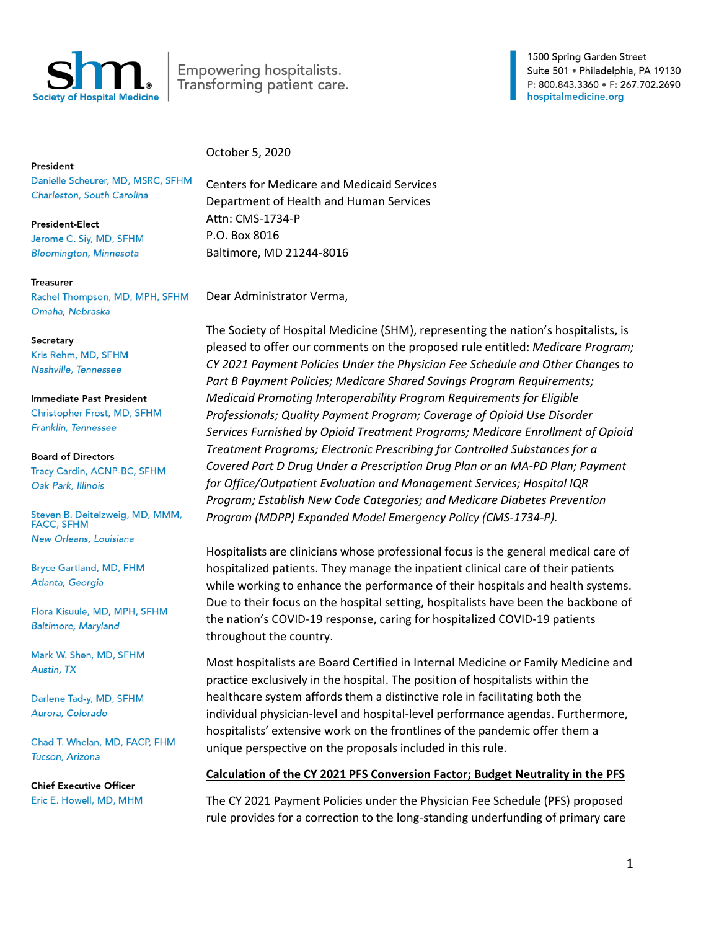

Empowering hospitalists. Transforming patient care. 1500 Spring Garden Street Suite 501 · Philadelphia, PA 19130 P: 800.843.3360 · F: 267.702.2690 hospitalmedicine.org

President

Danielle Scheurer, MD, MSRC, SFHM Charleston, South Carolina

**President-Elect** Jerome C. Siy, MD, SFHM **Bloomington, Minnesota** 

**Treasurer** 

Rachel Thompson, MD, MPH, SFHM Omaha, Nebraska

### Secretary

Kris Rehm, MD, SFHM Nashville, Tennessee

Immediate Past President Christopher Frost, MD, SFHM Franklin, Tennessee

#### **Board of Directors**

Tracy Cardin, ACNP-BC, SFHM Oak Park, Illinois

Steven B. Deitelzweig, MD, MMM, **FACC, SFHM** New Orleans, Louisiana

Bryce Gartland, MD, FHM Atlanta, Georgia

Flora Kisuule, MD, MPH, SFHM **Baltimore, Maryland** 

Mark W. Shen, MD, SFHM Austin, TX

Darlene Tad-y, MD, SFHM Aurora, Colorado

Chad T. Whelan, MD, FACP, FHM Tucson, Arizona

**Chief Executive Officer** Eric E. Howell, MD, MHM October 5, 2020

Centers for Medicare and Medicaid Services Department of Health and Human Services Attn: CMS-1734-P P.O. Box 8016 Baltimore, MD 21244-8016

Dear Administrator Verma,

The Society of Hospital Medicine (SHM), representing the nation's hospitalists, is pleased to offer our comments on the proposed rule entitled: *Medicare Program; CY 2021 Payment Policies Under the Physician Fee Schedule and Other Changes to Part B Payment Policies; Medicare Shared Savings Program Requirements; Medicaid Promoting Interoperability Program Requirements for Eligible Professionals; Quality Payment Program; Coverage of Opioid Use Disorder Services Furnished by Opioid Treatment Programs; Medicare Enrollment of Opioid Treatment Programs; Electronic Prescribing for Controlled Substances for a Covered Part D Drug Under a Prescription Drug Plan or an MA-PD Plan; Payment for Office/Outpatient Evaluation and Management Services; Hospital IQR Program; Establish New Code Categories; and Medicare Diabetes Prevention Program (MDPP) Expanded Model Emergency Policy (CMS-1734-P).* 

Hospitalists are clinicians whose professional focus is the general medical care of hospitalized patients. They manage the inpatient clinical care of their patients while working to enhance the performance of their hospitals and health systems. Due to their focus on the hospital setting, hospitalists have been the backbone of the nation's COVID-19 response, caring for hospitalized COVID-19 patients throughout the country.

Most hospitalists are Board Certified in Internal Medicine or Family Medicine and practice exclusively in the hospital. The position of hospitalists within the healthcare system affords them a distinctive role in facilitating both the individual physician-level and hospital-level performance agendas. Furthermore, hospitalists' extensive work on the frontlines of the pandemic offer them a unique perspective on the proposals included in this rule.

# **Calculation of the CY 2021 PFS Conversion Factor; Budget Neutrality in the PFS**

The CY 2021 Payment Policies under the Physician Fee Schedule (PFS) proposed rule provides for a correction to the long-standing underfunding of primary care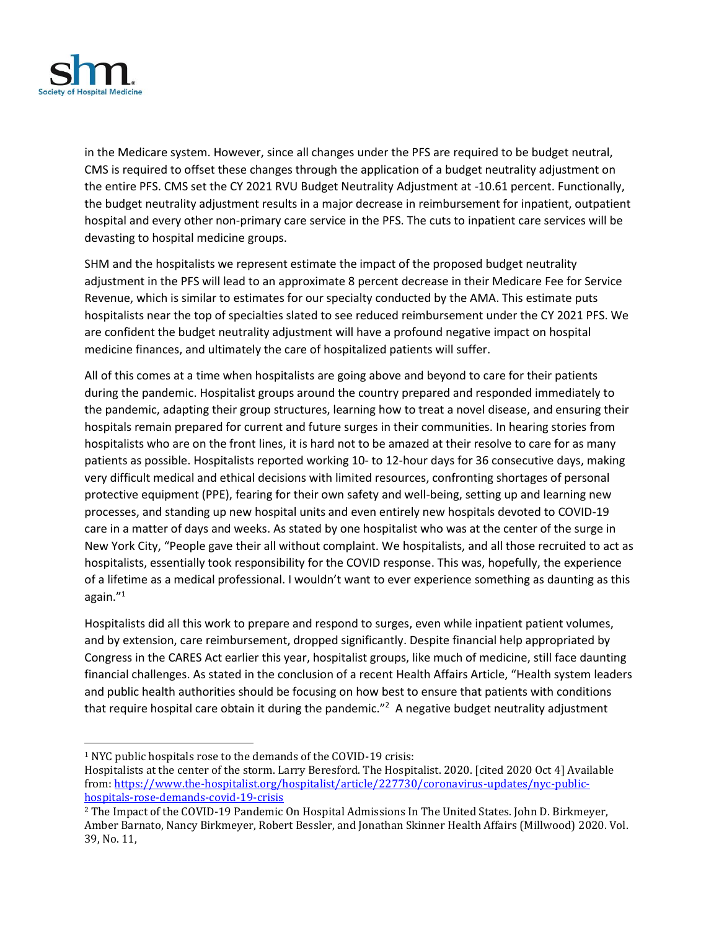

in the Medicare system. However, since all changes under the PFS are required to be budget neutral, CMS is required to offset these changes through the application of a budget neutrality adjustment on the entire PFS. CMS set the CY 2021 RVU Budget Neutrality Adjustment at -10.61 percent. Functionally, the budget neutrality adjustment results in a major decrease in reimbursement for inpatient, outpatient hospital and every other non-primary care service in the PFS. The cuts to inpatient care services will be devasting to hospital medicine groups.

SHM and the hospitalists we represent estimate the impact of the proposed budget neutrality adjustment in the PFS will lead to an approximate 8 percent decrease in their Medicare Fee for Service Revenue, which is similar to estimates for our specialty conducted by the AMA. This estimate puts hospitalists near the top of specialties slated to see reduced reimbursement under the CY 2021 PFS. We are confident the budget neutrality adjustment will have a profound negative impact on hospital medicine finances, and ultimately the care of hospitalized patients will suffer.

All of this comes at a time when hospitalists are going above and beyond to care for their patients during the pandemic. Hospitalist groups around the country prepared and responded immediately to the pandemic, adapting their group structures, learning how to treat a novel disease, and ensuring their hospitals remain prepared for current and future surges in their communities. In hearing stories from hospitalists who are on the front lines, it is hard not to be amazed at their resolve to care for as many patients as possible. Hospitalists reported working 10- to 12-hour days for 36 consecutive days, making very difficult medical and ethical decisions with limited resources, confronting shortages of personal protective equipment (PPE), fearing for their own safety and well-being, setting up and learning new processes, and standing up new hospital units and even entirely new hospitals devoted to COVID-19 care in a matter of days and weeks. As stated by one hospitalist who was at the center of the surge in New York City, "People gave their all without complaint. We hospitalists, and all those recruited to act as hospitalists, essentially took responsibility for the COVID response. This was, hopefully, the experience of a lifetime as a medical professional. I wouldn't want to ever experience something as daunting as this again."<sup>1</sup>

Hospitalists did all this work to prepare and respond to surges, even while inpatient patient volumes, and by extension, care reimbursement, dropped significantly. Despite financial help appropriated by Congress in the CARES Act earlier this year, hospitalist groups, like much of medicine, still face daunting financial challenges. As stated in the conclusion of a recent Health Affairs Article, "Health system leaders and public health authorities should be focusing on how best to ensure that patients with conditions that require hospital care obtain it during the pandemic."<sup>2</sup> A negative budget neutrality adjustment

<sup>1</sup> NYC public hospitals rose to the demands of the COVID-19 crisis:

Hospitalists at the center of the storm. Larry Beresford. The Hospitalist. 2020. [cited 2020 Oct 4] Available from[: https://www.the-hospitalist.org/hospitalist/article/227730/coronavirus-updates/nyc-public](https://www.the-hospitalist.org/hospitalist/article/227730/coronavirus-updates/nyc-public-hospitals-rose-demands-covid-19-crisis)[hospitals-rose-demands-covid-19-crisis](https://www.the-hospitalist.org/hospitalist/article/227730/coronavirus-updates/nyc-public-hospitals-rose-demands-covid-19-crisis)

<sup>&</sup>lt;sup>2</sup> The Impact of the COVID-19 Pandemic On Hospital Admissions In The United States. John D. Birkmeyer, Amber Barnato, Nancy Birkmeyer, Robert Bessler, and Jonathan Skinner Health Affairs (Millwood) 2020. Vol. 39, No. 11,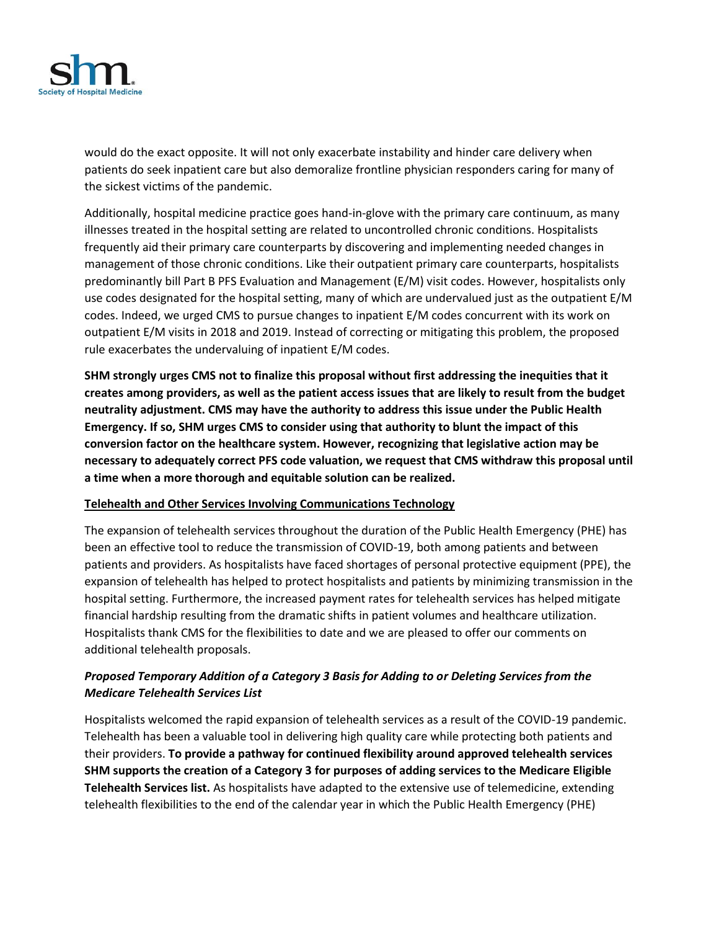

would do the exact opposite. It will not only exacerbate instability and hinder care delivery when patients do seek inpatient care but also demoralize frontline physician responders caring for many of the sickest victims of the pandemic.

Additionally, hospital medicine practice goes hand-in-glove with the primary care continuum, as many illnesses treated in the hospital setting are related to uncontrolled chronic conditions. Hospitalists frequently aid their primary care counterparts by discovering and implementing needed changes in management of those chronic conditions. Like their outpatient primary care counterparts, hospitalists predominantly bill Part B PFS Evaluation and Management (E/M) visit codes. However, hospitalists only use codes designated for the hospital setting, many of which are undervalued just as the outpatient E/M codes. Indeed, we urged CMS to pursue changes to inpatient E/M codes concurrent with its work on outpatient E/M visits in 2018 and 2019. Instead of correcting or mitigating this problem, the proposed rule exacerbates the undervaluing of inpatient E/M codes.

**SHM strongly urges CMS not to finalize this proposal without first addressing the inequities that it creates among providers, as well as the patient access issues that are likely to result from the budget neutrality adjustment. CMS may have the authority to address this issue under the Public Health Emergency. If so, SHM urges CMS to consider using that authority to blunt the impact of this conversion factor on the healthcare system. However, recognizing that legislative action may be necessary to adequately correct PFS code valuation, we request that CMS withdraw this proposal until a time when a more thorough and equitable solution can be realized.** 

### **Telehealth and Other Services Involving Communications Technology**

The expansion of telehealth services throughout the duration of the Public Health Emergency (PHE) has been an effective tool to reduce the transmission of COVID-19, both among patients and between patients and providers. As hospitalists have faced shortages of personal protective equipment (PPE), the expansion of telehealth has helped to protect hospitalists and patients by minimizing transmission in the hospital setting. Furthermore, the increased payment rates for telehealth services has helped mitigate financial hardship resulting from the dramatic shifts in patient volumes and healthcare utilization. Hospitalists thank CMS for the flexibilities to date and we are pleased to offer our comments on additional telehealth proposals.

# *Proposed Temporary Addition of a Category 3 Basis for Adding to or Deleting Services from the Medicare Telehealth Services List*

Hospitalists welcomed the rapid expansion of telehealth services as a result of the COVID-19 pandemic. Telehealth has been a valuable tool in delivering high quality care while protecting both patients and their providers. **To provide a pathway for continued flexibility around approved telehealth services SHM supports the creation of a Category 3 for purposes of adding services to the Medicare Eligible Telehealth Services list.** As hospitalists have adapted to the extensive use of telemedicine, extending telehealth flexibilities to the end of the calendar year in which the Public Health Emergency (PHE)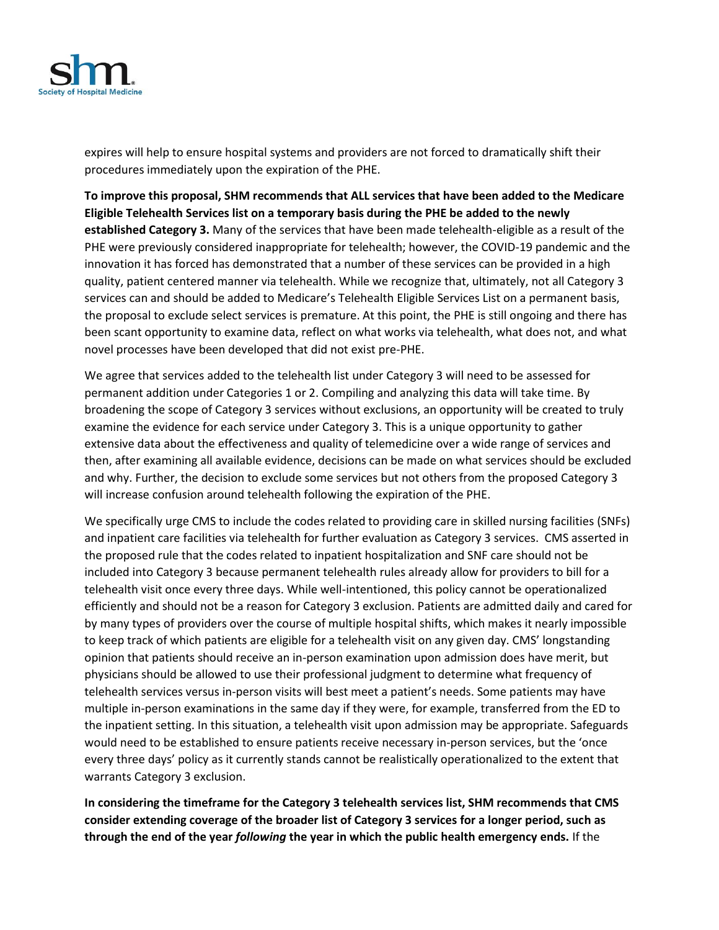

expires will help to ensure hospital systems and providers are not forced to dramatically shift their procedures immediately upon the expiration of the PHE.

**To improve this proposal, SHM recommends that ALL services that have been added to the Medicare Eligible Telehealth Services list on a temporary basis during the PHE be added to the newly established Category 3.** Many of the services that have been made telehealth-eligible as a result of the PHE were previously considered inappropriate for telehealth; however, the COVID-19 pandemic and the innovation it has forced has demonstrated that a number of these services can be provided in a high quality, patient centered manner via telehealth. While we recognize that, ultimately, not all Category 3 services can and should be added to Medicare's Telehealth Eligible Services List on a permanent basis, the proposal to exclude select services is premature. At this point, the PHE is still ongoing and there has been scant opportunity to examine data, reflect on what works via telehealth, what does not, and what novel processes have been developed that did not exist pre-PHE.

We agree that services added to the telehealth list under Category 3 will need to be assessed for permanent addition under Categories 1 or 2. Compiling and analyzing this data will take time. By broadening the scope of Category 3 services without exclusions, an opportunity will be created to truly examine the evidence for each service under Category 3. This is a unique opportunity to gather extensive data about the effectiveness and quality of telemedicine over a wide range of services and then, after examining all available evidence, decisions can be made on what services should be excluded and why. Further, the decision to exclude some services but not others from the proposed Category 3 will increase confusion around telehealth following the expiration of the PHE.

We specifically urge CMS to include the codes related to providing care in skilled nursing facilities (SNFs) and inpatient care facilities via telehealth for further evaluation as Category 3 services. CMS asserted in the proposed rule that the codes related to inpatient hospitalization and SNF care should not be included into Category 3 because permanent telehealth rules already allow for providers to bill for a telehealth visit once every three days. While well-intentioned, this policy cannot be operationalized efficiently and should not be a reason for Category 3 exclusion. Patients are admitted daily and cared for by many types of providers over the course of multiple hospital shifts, which makes it nearly impossible to keep track of which patients are eligible for a telehealth visit on any given day. CMS' longstanding opinion that patients should receive an in-person examination upon admission does have merit, but physicians should be allowed to use their professional judgment to determine what frequency of telehealth services versus in-person visits will best meet a patient's needs. Some patients may have multiple in-person examinations in the same day if they were, for example, transferred from the ED to the inpatient setting. In this situation, a telehealth visit upon admission may be appropriate. Safeguards would need to be established to ensure patients receive necessary in-person services, but the 'once every three days' policy as it currently stands cannot be realistically operationalized to the extent that warrants Category 3 exclusion.

**In considering the timeframe for the Category 3 telehealth services list, SHM recommends that CMS consider extending coverage of the broader list of Category 3 services for a longer period, such as through the end of the year** *following* **the year in which the public health emergency ends.** If the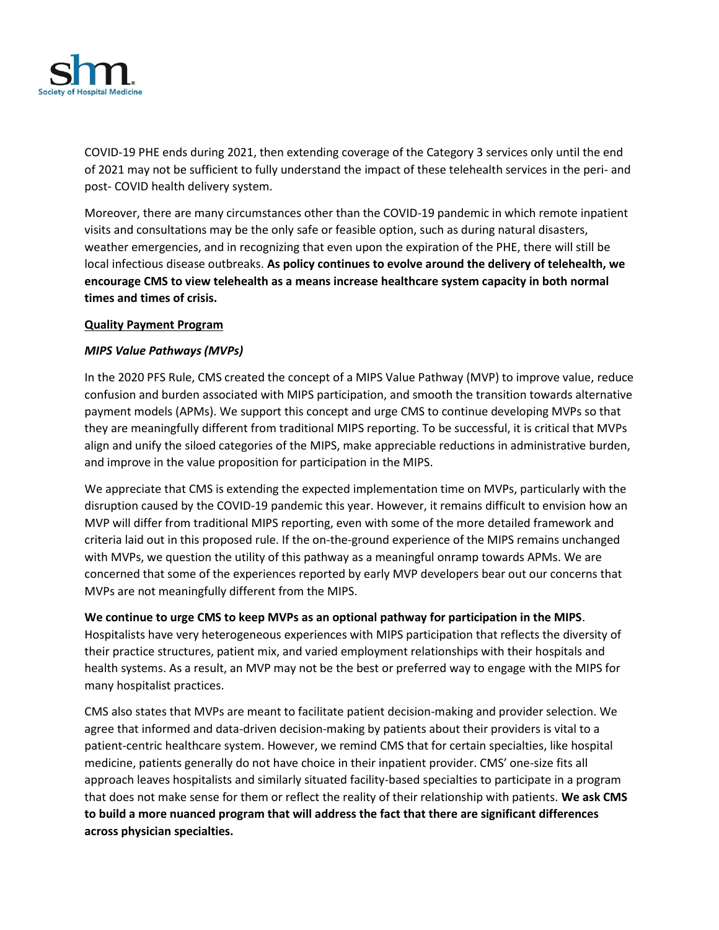

COVID-19 PHE ends during 2021, then extending coverage of the Category 3 services only until the end of 2021 may not be sufficient to fully understand the impact of these telehealth services in the peri- and post- COVID health delivery system.

Moreover, there are many circumstances other than the COVID-19 pandemic in which remote inpatient visits and consultations may be the only safe or feasible option, such as during natural disasters, weather emergencies, and in recognizing that even upon the expiration of the PHE, there will still be local infectious disease outbreaks. **As policy continues to evolve around the delivery of telehealth, we encourage CMS to view telehealth as a means increase healthcare system capacity in both normal times and times of crisis.**

### **Quality Payment Program**

### *MIPS Value Pathways (MVPs)*

In the 2020 PFS Rule, CMS created the concept of a MIPS Value Pathway (MVP) to improve value, reduce confusion and burden associated with MIPS participation, and smooth the transition towards alternative payment models (APMs). We support this concept and urge CMS to continue developing MVPs so that they are meaningfully different from traditional MIPS reporting. To be successful, it is critical that MVPs align and unify the siloed categories of the MIPS, make appreciable reductions in administrative burden, and improve in the value proposition for participation in the MIPS.

We appreciate that CMS is extending the expected implementation time on MVPs, particularly with the disruption caused by the COVID-19 pandemic this year. However, it remains difficult to envision how an MVP will differ from traditional MIPS reporting, even with some of the more detailed framework and criteria laid out in this proposed rule. If the on-the-ground experience of the MIPS remains unchanged with MVPs, we question the utility of this pathway as a meaningful onramp towards APMs. We are concerned that some of the experiences reported by early MVP developers bear out our concerns that MVPs are not meaningfully different from the MIPS.

### **We continue to urge CMS to keep MVPs as an optional pathway for participation in the MIPS**.

Hospitalists have very heterogeneous experiences with MIPS participation that reflects the diversity of their practice structures, patient mix, and varied employment relationships with their hospitals and health systems. As a result, an MVP may not be the best or preferred way to engage with the MIPS for many hospitalist practices.

CMS also states that MVPs are meant to facilitate patient decision-making and provider selection. We agree that informed and data-driven decision-making by patients about their providers is vital to a patient-centric healthcare system. However, we remind CMS that for certain specialties, like hospital medicine, patients generally do not have choice in their inpatient provider. CMS' one-size fits all approach leaves hospitalists and similarly situated facility-based specialties to participate in a program that does not make sense for them or reflect the reality of their relationship with patients. **We ask CMS to build a more nuanced program that will address the fact that there are significant differences across physician specialties.**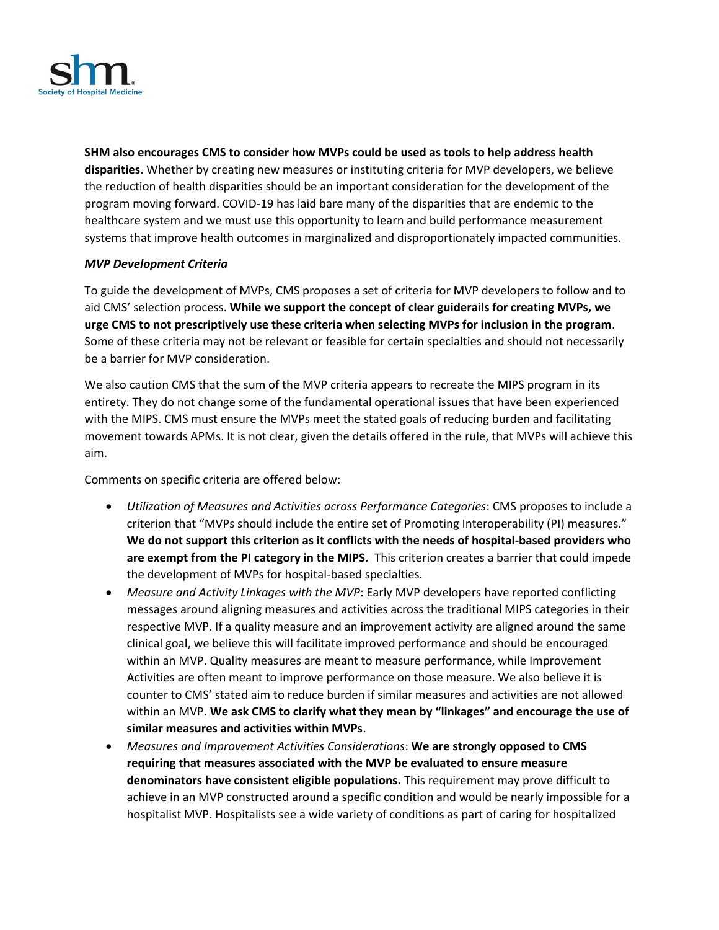

**SHM also encourages CMS to consider how MVPs could be used as tools to help address health disparities**. Whether by creating new measures or instituting criteria for MVP developers, we believe the reduction of health disparities should be an important consideration for the development of the program moving forward. COVID-19 has laid bare many of the disparities that are endemic to the healthcare system and we must use this opportunity to learn and build performance measurement systems that improve health outcomes in marginalized and disproportionately impacted communities.

### *MVP Development Criteria*

To guide the development of MVPs, CMS proposes a set of criteria for MVP developers to follow and to aid CMS' selection process. **While we support the concept of clear guiderails for creating MVPs, we urge CMS to not prescriptively use these criteria when selecting MVPs for inclusion in the program**. Some of these criteria may not be relevant or feasible for certain specialties and should not necessarily be a barrier for MVP consideration.

We also caution CMS that the sum of the MVP criteria appears to recreate the MIPS program in its entirety. They do not change some of the fundamental operational issues that have been experienced with the MIPS. CMS must ensure the MVPs meet the stated goals of reducing burden and facilitating movement towards APMs. It is not clear, given the details offered in the rule, that MVPs will achieve this aim.

Comments on specific criteria are offered below:

- *Utilization of Measures and Activities across Performance Categories*: CMS proposes to include a criterion that "MVPs should include the entire set of Promoting Interoperability (PI) measures." **We do not support this criterion as it conflicts with the needs of hospital-based providers who are exempt from the PI category in the MIPS.** This criterion creates a barrier that could impede the development of MVPs for hospital-based specialties.
- *Measure and Activity Linkages with the MVP*: Early MVP developers have reported conflicting messages around aligning measures and activities across the traditional MIPS categories in their respective MVP. If a quality measure and an improvement activity are aligned around the same clinical goal, we believe this will facilitate improved performance and should be encouraged within an MVP. Quality measures are meant to measure performance, while Improvement Activities are often meant to improve performance on those measure. We also believe it is counter to CMS' stated aim to reduce burden if similar measures and activities are not allowed within an MVP. **We ask CMS to clarify what they mean by "linkages" and encourage the use of similar measures and activities within MVPs**.
- *Measures and Improvement Activities Considerations*: **We are strongly opposed to CMS requiring that measures associated with the MVP be evaluated to ensure measure denominators have consistent eligible populations.** This requirement may prove difficult to achieve in an MVP constructed around a specific condition and would be nearly impossible for a hospitalist MVP. Hospitalists see a wide variety of conditions as part of caring for hospitalized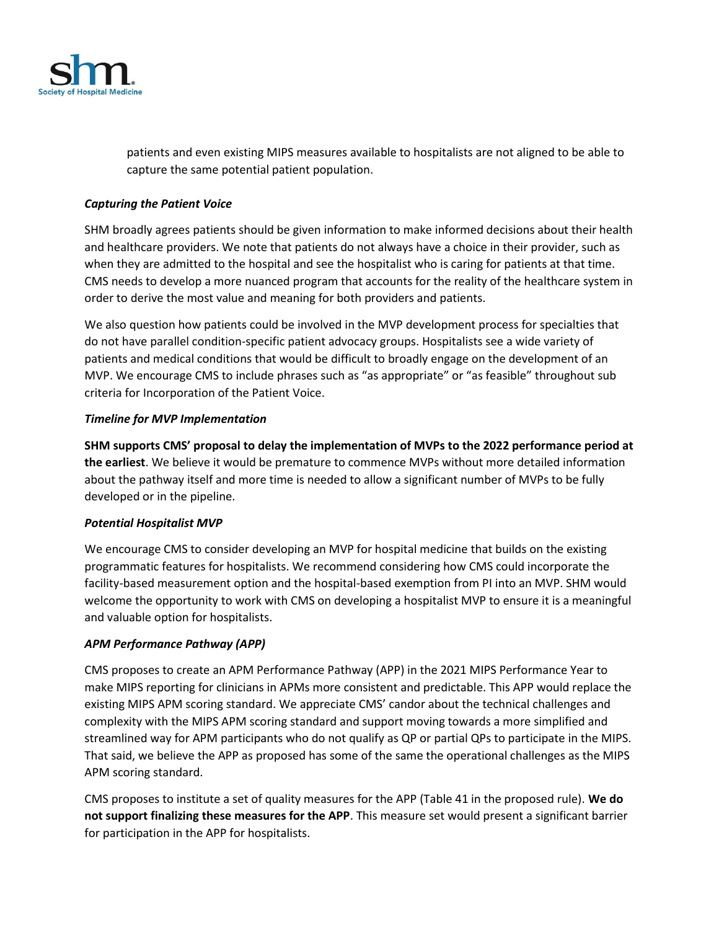

patients and even existing MIPS measures available to hospitalists are not aligned to be able to capture the same potential patient population.

## *Capturing the Patient Voice*

SHM broadly agrees patients should be given information to make informed decisions about their health and healthcare providers. We note that patients do not always have a choice in their provider, such as when they are admitted to the hospital and see the hospitalist who is caring for patients at that time. CMS needs to develop a more nuanced program that accounts for the reality of the healthcare system in order to derive the most value and meaning for both providers and patients.

We also question how patients could be involved in the MVP development process for specialties that do not have parallel condition-specific patient advocacy groups. Hospitalists see a wide variety of patients and medical conditions that would be difficult to broadly engage on the development of an MVP. We encourage CMS to include phrases such as "as appropriate" or "as feasible" throughout sub criteria for Incorporation of the Patient Voice.

# *Timeline for MVP Implementation*

**SHM supports CMS' proposal to delay the implementation of MVPs to the 2022 performance period at the earliest**. We believe it would be premature to commence MVPs without more detailed information about the pathway itself and more time is needed to allow a significant number of MVPs to be fully developed or in the pipeline.

### *Potential Hospitalist MVP*

We encourage CMS to consider developing an MVP for hospital medicine that builds on the existing programmatic features for hospitalists. We recommend considering how CMS could incorporate the facility-based measurement option and the hospital-based exemption from PI into an MVP. SHM would welcome the opportunity to work with CMS on developing a hospitalist MVP to ensure it is a meaningful and valuable option for hospitalists.

### *APM Performance Pathway (APP)*

CMS proposes to create an APM Performance Pathway (APP) in the 2021 MIPS Performance Year to make MIPS reporting for clinicians in APMs more consistent and predictable. This APP would replace the existing MIPS APM scoring standard. We appreciate CMS' candor about the technical challenges and complexity with the MIPS APM scoring standard and support moving towards a more simplified and streamlined way for APM participants who do not qualify as QP or partial QPs to participate in the MIPS. That said, we believe the APP as proposed has some of the same the operational challenges as the MIPS APM scoring standard.

CMS proposes to institute a set of quality measures for the APP (Table 41 in the proposed rule). **We do not support finalizing these measures for the APP**. This measure set would present a significant barrier for participation in the APP for hospitalists.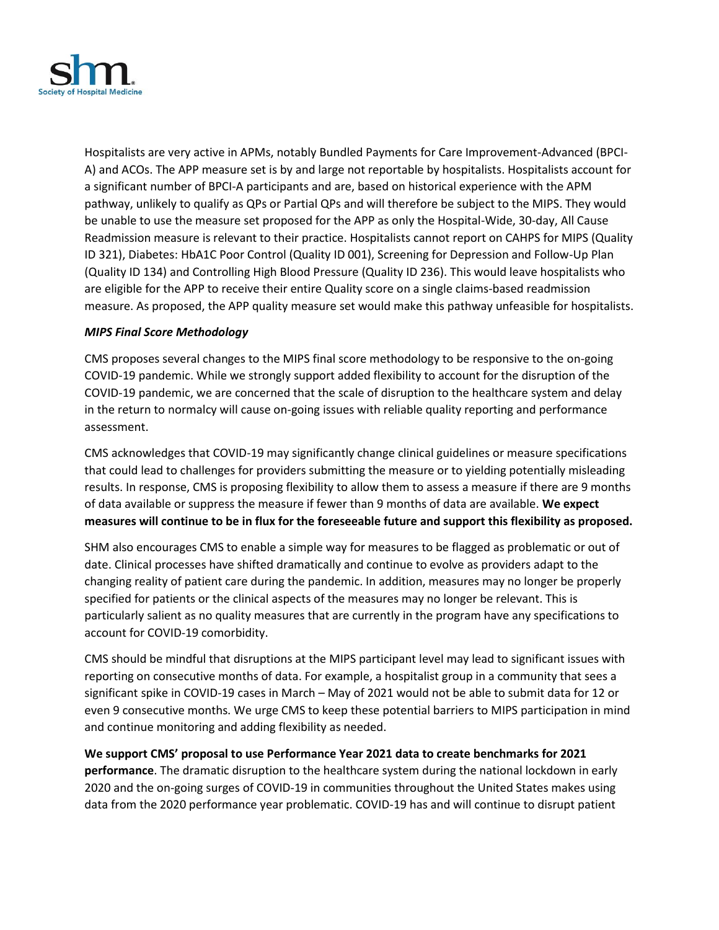

Hospitalists are very active in APMs, notably Bundled Payments for Care Improvement-Advanced (BPCI-A) and ACOs. The APP measure set is by and large not reportable by hospitalists. Hospitalists account for a significant number of BPCI-A participants and are, based on historical experience with the APM pathway, unlikely to qualify as QPs or Partial QPs and will therefore be subject to the MIPS. They would be unable to use the measure set proposed for the APP as only the Hospital-Wide, 30-day, All Cause Readmission measure is relevant to their practice. Hospitalists cannot report on CAHPS for MIPS (Quality ID 321), Diabetes: HbA1C Poor Control (Quality ID 001), Screening for Depression and Follow-Up Plan (Quality ID 134) and Controlling High Blood Pressure (Quality ID 236). This would leave hospitalists who are eligible for the APP to receive their entire Quality score on a single claims-based readmission measure. As proposed, the APP quality measure set would make this pathway unfeasible for hospitalists.

### *MIPS Final Score Methodology*

CMS proposes several changes to the MIPS final score methodology to be responsive to the on-going COVID-19 pandemic. While we strongly support added flexibility to account for the disruption of the COVID-19 pandemic, we are concerned that the scale of disruption to the healthcare system and delay in the return to normalcy will cause on-going issues with reliable quality reporting and performance assessment.

CMS acknowledges that COVID-19 may significantly change clinical guidelines or measure specifications that could lead to challenges for providers submitting the measure or to yielding potentially misleading results. In response, CMS is proposing flexibility to allow them to assess a measure if there are 9 months of data available or suppress the measure if fewer than 9 months of data are available. **We expect measures will continue to be in flux for the foreseeable future and support this flexibility as proposed.**

SHM also encourages CMS to enable a simple way for measures to be flagged as problematic or out of date. Clinical processes have shifted dramatically and continue to evolve as providers adapt to the changing reality of patient care during the pandemic. In addition, measures may no longer be properly specified for patients or the clinical aspects of the measures may no longer be relevant. This is particularly salient as no quality measures that are currently in the program have any specifications to account for COVID-19 comorbidity.

CMS should be mindful that disruptions at the MIPS participant level may lead to significant issues with reporting on consecutive months of data. For example, a hospitalist group in a community that sees a significant spike in COVID-19 cases in March – May of 2021 would not be able to submit data for 12 or even 9 consecutive months. We urge CMS to keep these potential barriers to MIPS participation in mind and continue monitoring and adding flexibility as needed.

**We support CMS' proposal to use Performance Year 2021 data to create benchmarks for 2021 performance**. The dramatic disruption to the healthcare system during the national lockdown in early 2020 and the on-going surges of COVID-19 in communities throughout the United States makes using data from the 2020 performance year problematic. COVID-19 has and will continue to disrupt patient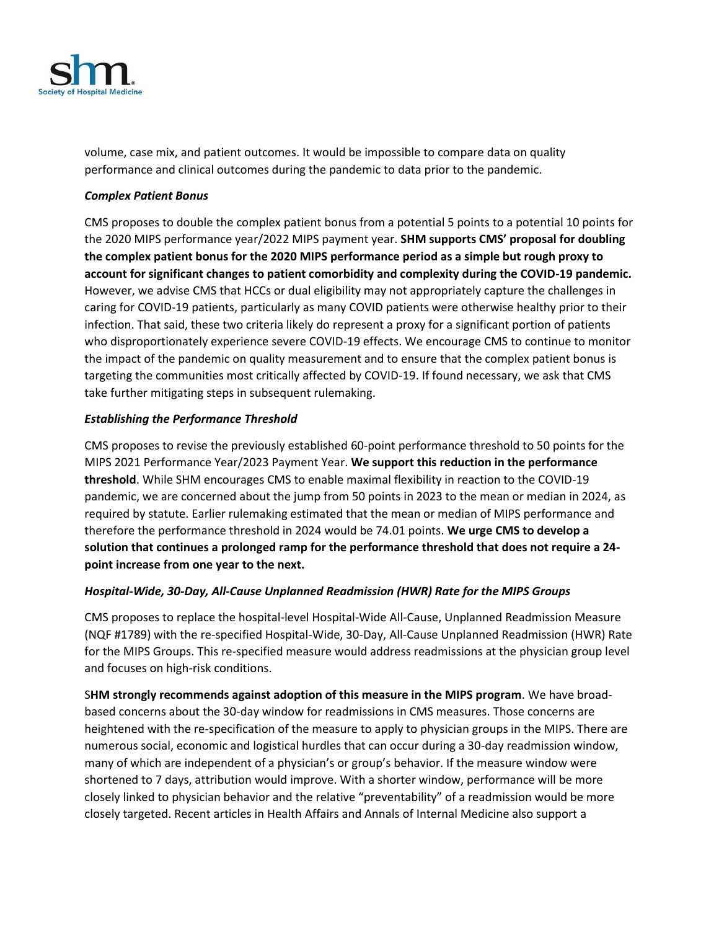

volume, case mix, and patient outcomes. It would be impossible to compare data on quality performance and clinical outcomes during the pandemic to data prior to the pandemic.

### *Complex Patient Bonus*

CMS proposes to double the complex patient bonus from a potential 5 points to a potential 10 points for the 2020 MIPS performance year/2022 MIPS payment year. **SHM supports CMS' proposal for doubling the complex patient bonus for the 2020 MIPS performance period as a simple but rough proxy to account for significant changes to patient comorbidity and complexity during the COVID-19 pandemic.** However, we advise CMS that HCCs or dual eligibility may not appropriately capture the challenges in caring for COVID-19 patients, particularly as many COVID patients were otherwise healthy prior to their infection. That said, these two criteria likely do represent a proxy for a significant portion of patients who disproportionately experience severe COVID-19 effects. We encourage CMS to continue to monitor the impact of the pandemic on quality measurement and to ensure that the complex patient bonus is targeting the communities most critically affected by COVID-19. If found necessary, we ask that CMS take further mitigating steps in subsequent rulemaking.

# *Establishing the Performance Threshold*

CMS proposes to revise the previously established 60-point performance threshold to 50 points for the MIPS 2021 Performance Year/2023 Payment Year. **We support this reduction in the performance threshold**. While SHM encourages CMS to enable maximal flexibility in reaction to the COVID-19 pandemic, we are concerned about the jump from 50 points in 2023 to the mean or median in 2024, as required by statute. Earlier rulemaking estimated that the mean or median of MIPS performance and therefore the performance threshold in 2024 would be 74.01 points. **We urge CMS to develop a solution that continues a prolonged ramp for the performance threshold that does not require a 24 point increase from one year to the next.**

### *Hospital-Wide, 30-Day, All-Cause Unplanned Readmission (HWR) Rate for the MIPS Groups*

CMS proposes to replace the hospital-level Hospital-Wide All-Cause, Unplanned Readmission Measure (NQF #1789) with the re-specified Hospital-Wide, 30-Day, All-Cause Unplanned Readmission (HWR) Rate for the MIPS Groups. This re-specified measure would address readmissions at the physician group level and focuses on high-risk conditions.

S**HM strongly recommends against adoption of this measure in the MIPS program**. We have broadbased concerns about the 30-day window for readmissions in CMS measures. Those concerns are heightened with the re-specification of the measure to apply to physician groups in the MIPS. There are numerous social, economic and logistical hurdles that can occur during a 30-day readmission window, many of which are independent of a physician's or group's behavior. If the measure window were shortened to 7 days, attribution would improve. With a shorter window, performance will be more closely linked to physician behavior and the relative "preventability" of a readmission would be more closely targeted. Recent articles in Health Affairs and Annals of Internal Medicine also support a